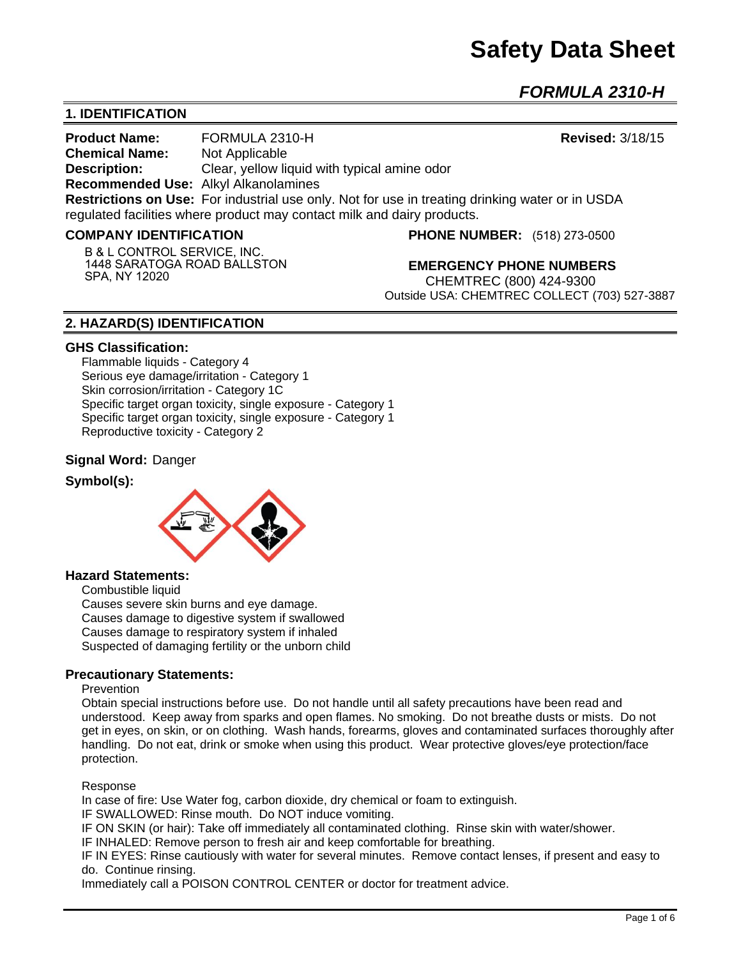*FORMULA 2310-H* 

# **1. IDENTIFICATION**

**Product Name:** FORMULA 2310-H **Revised:** 3/18/15 **Chemical Name:** Not Applicable **Description:** Clear, yellow liquid with typical amine odor **Recommended Use:** Alkyl Alkanolamines **Restrictions on Use:** For industrial use only. Not for use in treating drinking water or in USDA regulated facilities where product may contact milk and dairy products.

#### **COMPANY IDENTIFICATION**

**B** & **L CONTROL SERVICE, INC. 1448 SARATOGA ROAD BALLSTON SPA, NY 12020**

**PHONE NUMBER:** (518) 273-0500

**EMERGENCY PHONE NUMBERS** CHEMTREC (800) 424-9300 Outside USA: CHEMTREC COLLECT (703) 527-3887

## **2. HAZARD(S) IDENTIFICATION**

#### **GHS Classification:**

Flammable liquids - Category 4 Serious eye damage/irritation - Category 1 Skin corrosion/irritation - Category 1C Specific target organ toxicity, single exposure - Category 1 Specific target organ toxicity, single exposure - Category 1 Reproductive toxicity - Category 2

#### **Signal Word:** Danger

#### **Symbol(s):**



#### **Hazard Statements:**

Combustible liquid

Causes severe skin burns and eye damage. Causes damage to digestive system if swallowed Causes damage to respiratory system if inhaled Suspected of damaging fertility or the unborn child

### **Precautionary Statements:**

#### **Prevention**

Obtain special instructions before use. Do not handle until all safety precautions have been read and understood. Keep away from sparks and open flames. No smoking. Do not breathe dusts or mists. Do not get in eyes, on skin, or on clothing. Wash hands, forearms, gloves and contaminated surfaces thoroughly after handling. Do not eat, drink or smoke when using this product. Wear protective gloves/eye protection/face protection.

#### Response

In case of fire: Use Water fog, carbon dioxide, dry chemical or foam to extinguish.

IF SWALLOWED: Rinse mouth. Do NOT induce vomiting.

IF ON SKIN (or hair): Take off immediately all contaminated clothing. Rinse skin with water/shower.

IF INHALED: Remove person to fresh air and keep comfortable for breathing.

IF IN EYES: Rinse cautiously with water for several minutes. Remove contact lenses, if present and easy to do. Continue rinsing.

Immediately call a POISON CONTROL CENTER or doctor for treatment advice.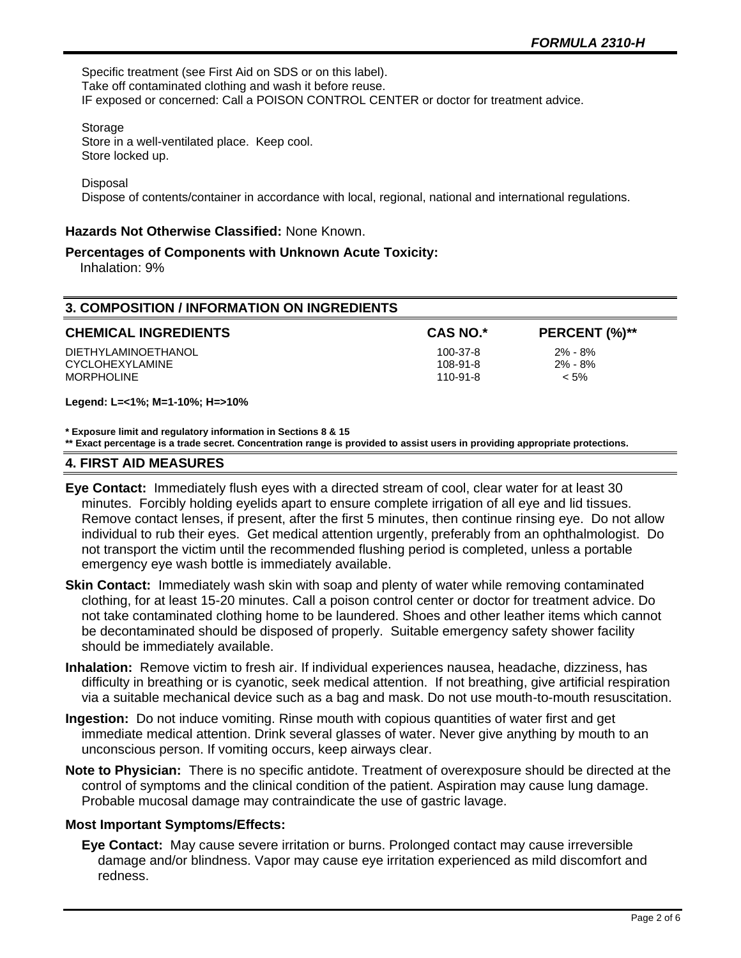**CHEMICAL INGREDIENTS CAS NO.\* PERCENT (%)\*\***

Specific treatment (see First Aid on SDS or on this label). Take off contaminated clothing and wash it before reuse. IF exposed or concerned: Call a POISON CONTROL CENTER or doctor for treatment advice.

Storage

Store in a well-ventilated place. Keep cool. Store locked up.

Disposal

Dispose of contents/container in accordance with local, regional, national and international regulations.

#### **Hazards Not Otherwise Classified:** None Known.

#### **Percentages of Components with Unknown Acute Toxicity:**

Inhalation: 9%

| <b>3. COMPOSITION / INFORMATION ON INGREDIENTS</b> |
|----------------------------------------------------|
|----------------------------------------------------|

|  | <b>CHEMICAL INGREDIENTS</b> |
|--|-----------------------------|
|--|-----------------------------|

DIETHYLAMINOETHANOL 100-37-8 2% - 8% CYCLOHEXYLAMINE 108-91-8 2% - 8% MORPHOLINE 110-91-8 < 5%

**Legend: L=<1%; M=1-10%; H=>10%**

**\* Exposure limit and regulatory information in Sections 8 & 15**

**\*\* Exact percentage is a trade secret. Concentration range is provided to assist users in providing appropriate protections.**

#### **4. FIRST AID MEASURES**

- **Eye Contact:** Immediately flush eyes with a directed stream of cool, clear water for at least 30 minutes. Forcibly holding eyelids apart to ensure complete irrigation of all eye and lid tissues. Remove contact lenses, if present, after the first 5 minutes, then continue rinsing eye. Do not allow individual to rub their eyes. Get medical attention urgently, preferably from an ophthalmologist. Do not transport the victim until the recommended flushing period is completed, unless a portable emergency eye wash bottle is immediately available.
- **Skin Contact:** Immediately wash skin with soap and plenty of water while removing contaminated clothing, for at least 15-20 minutes. Call a poison control center or doctor for treatment advice. Do not take contaminated clothing home to be laundered. Shoes and other leather items which cannot be decontaminated should be disposed of properly. Suitable emergency safety shower facility should be immediately available.
- **Inhalation:** Remove victim to fresh air. If individual experiences nausea, headache, dizziness, has difficulty in breathing or is cyanotic, seek medical attention. If not breathing, give artificial respiration via a suitable mechanical device such as a bag and mask. Do not use mouth-to-mouth resuscitation.
- **Ingestion:** Do not induce vomiting. Rinse mouth with copious quantities of water first and get immediate medical attention. Drink several glasses of water. Never give anything by mouth to an unconscious person. If vomiting occurs, keep airways clear.
- **Note to Physician:** There is no specific antidote. Treatment of overexposure should be directed at the control of symptoms and the clinical condition of the patient. Aspiration may cause lung damage. Probable mucosal damage may contraindicate the use of gastric lavage.

### **Most Important Symptoms/Effects:**

**Eye Contact:** May cause severe irritation or burns. Prolonged contact may cause irreversible damage and/or blindness. Vapor may cause eye irritation experienced as mild discomfort and redness.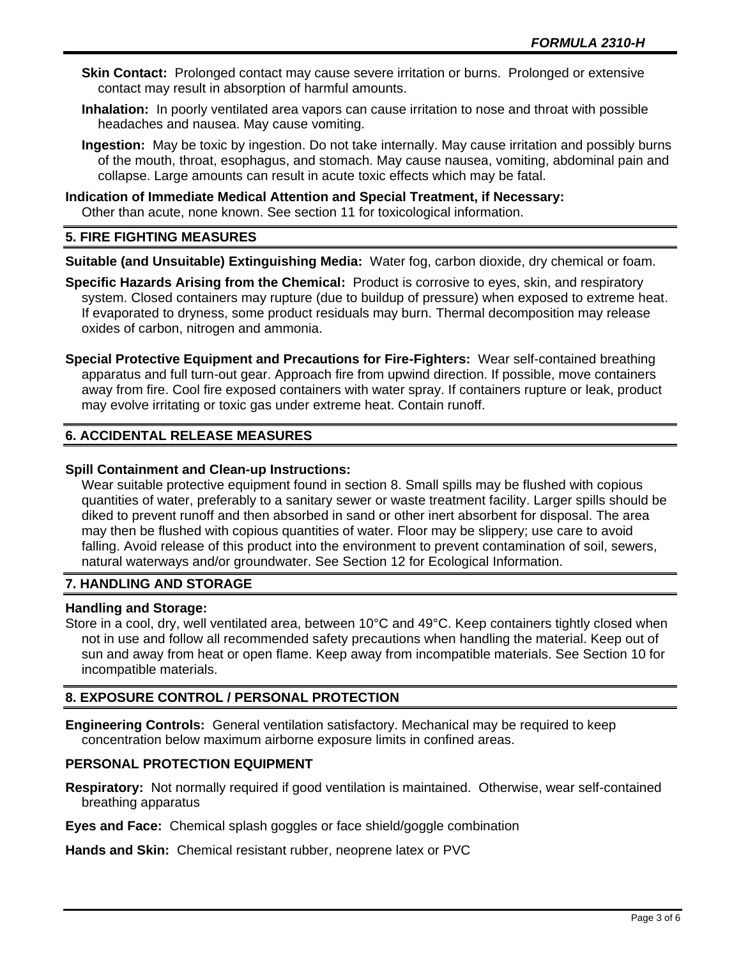- **Skin Contact:** Prolonged contact may cause severe irritation or burns. Prolonged or extensive contact may result in absorption of harmful amounts.
- **Inhalation:** In poorly ventilated area vapors can cause irritation to nose and throat with possible headaches and nausea. May cause vomiting.
- **Ingestion:** May be toxic by ingestion. Do not take internally. May cause irritation and possibly burns of the mouth, throat, esophagus, and stomach. May cause nausea, vomiting, abdominal pain and collapse. Large amounts can result in acute toxic effects which may be fatal.

# **Indication of Immediate Medical Attention and Special Treatment, if Necessary:** Other than acute, none known. See section 11 for toxicological information.

# **5. FIRE FIGHTING MEASURES**

**Suitable (and Unsuitable) Extinguishing Media:** Water fog, carbon dioxide, dry chemical or foam.

- **Specific Hazards Arising from the Chemical:** Product is corrosive to eyes, skin, and respiratory system. Closed containers may rupture (due to buildup of pressure) when exposed to extreme heat. If evaporated to dryness, some product residuals may burn. Thermal decomposition may release oxides of carbon, nitrogen and ammonia.
- **Special Protective Equipment and Precautions for Fire-Fighters:** Wear self-contained breathing apparatus and full turn-out gear. Approach fire from upwind direction. If possible, move containers away from fire. Cool fire exposed containers with water spray. If containers rupture or leak, product may evolve irritating or toxic gas under extreme heat. Contain runoff.

# **6. ACCIDENTAL RELEASE MEASURES**

## **Spill Containment and Clean-up Instructions:**

Wear suitable protective equipment found in section 8. Small spills may be flushed with copious quantities of water, preferably to a sanitary sewer or waste treatment facility. Larger spills should be diked to prevent runoff and then absorbed in sand or other inert absorbent for disposal. The area may then be flushed with copious quantities of water. Floor may be slippery; use care to avoid falling. Avoid release of this product into the environment to prevent contamination of soil, sewers, natural waterways and/or groundwater. See Section 12 for Ecological Information.

# **7. HANDLING AND STORAGE**

### **Handling and Storage:**

Store in a cool, dry, well ventilated area, between 10°C and 49°C. Keep containers tightly closed when not in use and follow all recommended safety precautions when handling the material. Keep out of sun and away from heat or open flame. Keep away from incompatible materials. See Section 10 for incompatible materials.

# **8. EXPOSURE CONTROL / PERSONAL PROTECTION**

**Engineering Controls:** General ventilation satisfactory. Mechanical may be required to keep concentration below maximum airborne exposure limits in confined areas.

### **PERSONAL PROTECTION EQUIPMENT**

**Respiratory:** Not normally required if good ventilation is maintained. Otherwise, wear self-contained breathing apparatus

**Eyes and Face:** Chemical splash goggles or face shield/goggle combination

**Hands and Skin:** Chemical resistant rubber, neoprene latex or PVC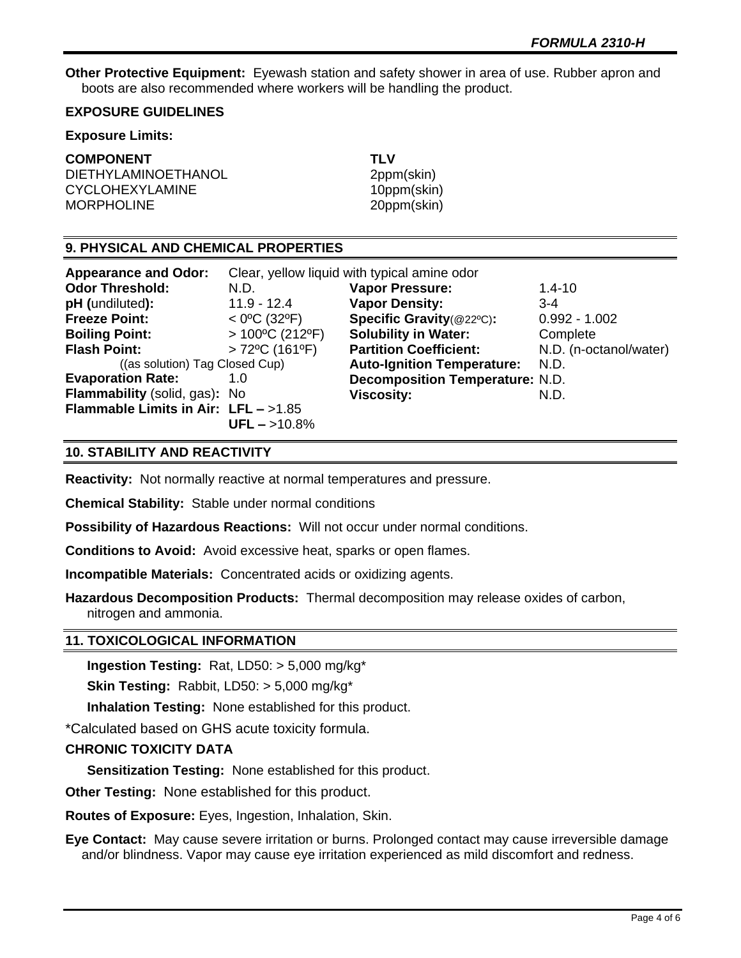**Other Protective Equipment:** Eyewash station and safety shower in area of use. Rubber apron and boots are also recommended where workers will be handling the product.

## **EXPOSURE GUIDELINES**

#### **Exposure Limits:**

### **COMPONENT TLV**

DIETHYLAMINOETHANOL 2ppm(skin) CYCLOHEXYLAMINE 10ppm(skin) MORPHOLINE 20ppm(skin)

## **9. PHYSICAL AND CHEMICAL PROPERTIES**

| <b>Appearance and Odor:</b>            | Clear, yellow liquid with typical amine odor |                                        |                        |
|----------------------------------------|----------------------------------------------|----------------------------------------|------------------------|
| <b>Odor Threshold:</b>                 | N.D.                                         | <b>Vapor Pressure:</b>                 | $1.4 - 10$             |
| pH (undiluted):                        | $11.9 - 12.4$                                | <b>Vapor Density:</b>                  | $3 - 4$                |
| <b>Freeze Point:</b>                   | $<$ 0°C (32°F)                               | Specific Gravity(@22°C):               | $0.992 - 1.002$        |
| <b>Boiling Point:</b>                  | $>100^{\circ}$ C (212°F)                     | <b>Solubility in Water:</b>            | Complete               |
| <b>Flash Point:</b>                    | $>72^{\circ}$ C (161 $^{\circ}$ F)           | <b>Partition Coefficient:</b>          | N.D. (n-octanol/water) |
| ((as solution) Tag Closed Cup)         |                                              | <b>Auto-Ignition Temperature:</b>      | N.D.                   |
| <b>Evaporation Rate:</b>               | 1.0                                          | <b>Decomposition Temperature: N.D.</b> |                        |
| Flammability (solid, gas): No          |                                              | <b>Viscosity:</b>                      | N.D.                   |
| Flammable Limits in Air: $LFL - >1.85$ |                                              |                                        |                        |
|                                        | $UFL - >10.8%$                               |                                        |                        |

## **10. STABILITY AND REACTIVITY**

**Reactivity:** Not normally reactive at normal temperatures and pressure.

**Chemical Stability:** Stable under normal conditions

**Possibility of Hazardous Reactions:** Will not occur under normal conditions.

**Conditions to Avoid:** Avoid excessive heat, sparks or open flames.

**Incompatible Materials:** Concentrated acids or oxidizing agents.

**Hazardous Decomposition Products:** Thermal decomposition may release oxides of carbon, nitrogen and ammonia.

### **11. TOXICOLOGICAL INFORMATION**

**Ingestion Testing:** Rat, LD50: > 5,000 mg/kg\*

**Skin Testing:** Rabbit, LD50: > 5,000 mg/kg\*

**Inhalation Testing:** None established for this product.

\*Calculated based on GHS acute toxicity formula.

### **CHRONIC TOXICITY DATA**

**Sensitization Testing:** None established for this product.

**Other Testing:** None established for this product.

**Routes of Exposure:** Eyes, Ingestion, Inhalation, Skin.

**Eye Contact:** May cause severe irritation or burns. Prolonged contact may cause irreversible damage and/or blindness. Vapor may cause eye irritation experienced as mild discomfort and redness.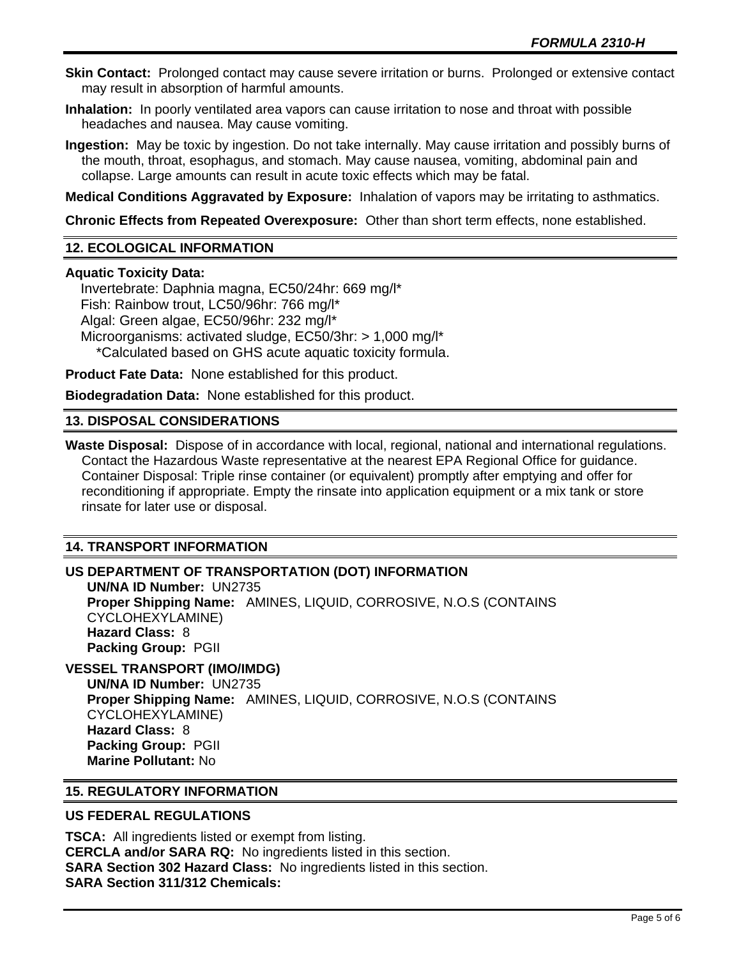**Skin Contact:** Prolonged contact may cause severe irritation or burns. Prolonged or extensive contact may result in absorption of harmful amounts.

**Inhalation:** In poorly ventilated area vapors can cause irritation to nose and throat with possible headaches and nausea. May cause vomiting.

**Ingestion:** May be toxic by ingestion. Do not take internally. May cause irritation and possibly burns of the mouth, throat, esophagus, and stomach. May cause nausea, vomiting, abdominal pain and collapse. Large amounts can result in acute toxic effects which may be fatal.

**Medical Conditions Aggravated by Exposure:** Inhalation of vapors may be irritating to asthmatics.

**Chronic Effects from Repeated Overexposure:** Other than short term effects, none established.

# **12. ECOLOGICAL INFORMATION**

### **Aquatic Toxicity Data:**

 Invertebrate: Daphnia magna, EC50/24hr: 669 mg/l\* Fish: Rainbow trout, LC50/96hr: 766 mg/l\* Algal: Green algae, EC50/96hr: 232 mg/l\* Microorganisms: activated sludge, EC50/3hr: > 1,000 mg/l\* \*Calculated based on GHS acute aquatic toxicity formula.

**Product Fate Data:** None established for this product.

**Biodegradation Data:** None established for this product.

### **13. DISPOSAL CONSIDERATIONS**

**Waste Disposal:** Dispose of in accordance with local, regional, national and international regulations. Contact the Hazardous Waste representative at the nearest EPA Regional Office for guidance. Container Disposal: Triple rinse container (or equivalent) promptly after emptying and offer for reconditioning if appropriate. Empty the rinsate into application equipment or a mix tank or store rinsate for later use or disposal.

### **14. TRANSPORT INFORMATION**

## **US DEPARTMENT OF TRANSPORTATION (DOT) INFORMATION**

**UN/NA ID Number:** UN2735 **Proper Shipping Name:** AMINES, LIQUID, CORROSIVE, N.O.S (CONTAINS CYCLOHEXYLAMINE) **Hazard Class:** 8 **Packing Group:** PGII

# **VESSEL TRANSPORT (IMO/IMDG)**

**UN/NA ID Number:** UN2735 **Proper Shipping Name:** AMINES, LIQUID, CORROSIVE, N.O.S (CONTAINS CYCLOHEXYLAMINE) **Hazard Class:** 8 **Packing Group:** PGII **Marine Pollutant:** No

# **15. REGULATORY INFORMATION**

### **US FEDERAL REGULATIONS**

**TSCA:** All ingredients listed or exempt from listing. **CERCLA and/or SARA RQ:** No ingredients listed in this section. **SARA Section 302 Hazard Class:** No ingredients listed in this section. **SARA Section 311/312 Chemicals:**